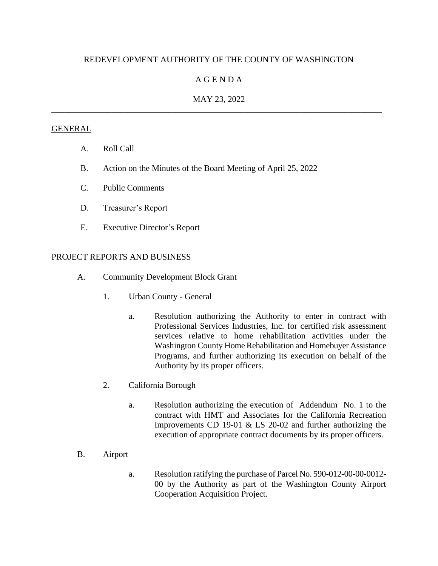# REDEVELOPMENT AUTHORITY OF THE COUNTY OF WASHINGTON

## A G E N D A

## MAY 23, 2022 \_\_\_\_\_\_\_\_\_\_\_\_\_\_\_\_\_\_\_\_\_\_\_\_\_\_\_\_\_\_\_\_\_\_\_\_\_\_\_\_\_\_\_\_\_\_\_\_\_\_\_\_\_\_\_\_\_\_\_\_\_\_\_\_\_\_\_\_\_\_\_\_\_\_\_\_\_

### **GENERAL**

- A. Roll Call
- B. Action on the Minutes of the Board Meeting of April 25, 2022
- C. Public Comments
- D. Treasurer's Report
- E. Executive Director's Report

#### PROJECT REPORTS AND BUSINESS

- A. Community Development Block Grant
	- 1. Urban County General
		- a. Resolution authorizing the Authority to enter in contract with Professional Services Industries, Inc. for certified risk assessment services relative to home rehabilitation activities under the Washington County Home Rehabilitation and Homebuyer Assistance Programs, and further authorizing its execution on behalf of the Authority by its proper officers.
	- 2. California Borough
		- a. Resolution authorizing the execution of Addendum No. 1 to the contract with HMT and Associates for the California Recreation Improvements CD 19-01 & LS 20-02 and further authorizing the execution of appropriate contract documents by its proper officers.
- B. Airport
	- a. Resolution ratifying the purchase of Parcel No. 590-012-00-00-0012- 00 by the Authority as part of the Washington County Airport Cooperation Acquisition Project.